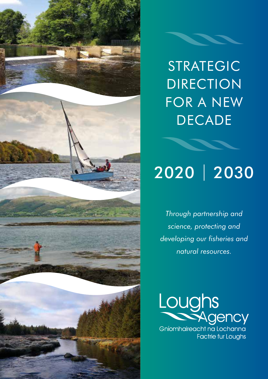

# STRATEGIC DIRECTION FOR A NEW DECADE

# 2020 | 2030

*Through partnership and science, protecting and developing our fisheries and natural resources.*



**Factrie fur Loughs**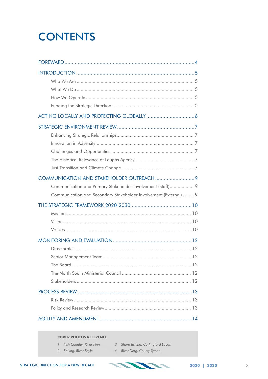## **CONTENTS**

| Communication and Primary Stakeholder Involvement (Staff) 9       |  |  |  |
|-------------------------------------------------------------------|--|--|--|
|                                                                   |  |  |  |
| Communication and Secondary Stakeholder Involvement (External)  9 |  |  |  |
|                                                                   |  |  |  |
|                                                                   |  |  |  |
|                                                                   |  |  |  |
|                                                                   |  |  |  |
|                                                                   |  |  |  |
|                                                                   |  |  |  |
|                                                                   |  |  |  |
|                                                                   |  |  |  |
|                                                                   |  |  |  |
|                                                                   |  |  |  |
|                                                                   |  |  |  |
|                                                                   |  |  |  |
|                                                                   |  |  |  |

#### **COVER PHOTOS REFERENCE**

- 1 Fish Counter, River Finn 3 Shore fishing, Carlingford Lough
- 2 Sailing, River Foyle
- 4 River Derg, County Tyrone

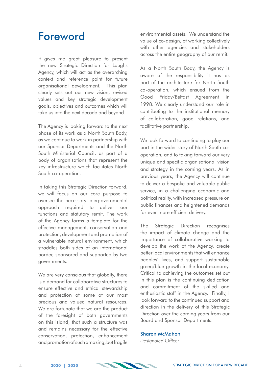### Foreword

It gives me great pleasure to present the new Strategic Direction for Loughs Agency, which will act as the overarching context and reference point for future organisational development. This plan clearly sets out our new vision, revised values and key strategic development goals, objectives and outcomes which will take us into the next decade and beyond.

The Agency is looking forward to the next phase of its work as a North South Body, as we continue to work in partnership with our Sponsor Departments and the North South Ministerial Council, as part of a body of organisations that represent the key infrastructure which facilitates North South co-operation.

In taking this Strategic Direction forward, we will focus on our core purpose to oversee the necessary intergovernmental approach required to deliver our functions and statutory remit. The work of the Agency forms a template for the effective management, conservation and protection, development and promotion of a vulnerable natural environment, which straddles both sides of an international border, sponsored and supported by two governments.

We are very conscious that alobally, there is a demand for collaborative structures to ensure effective and ethical stewardship and protection of some of our most precious and valued natural resources. We are fortunate that we are the product of the foresight of both governments on this island, that such a structure was and remains necessary for the effective conservation, protection, enhancement and promotion of such amazing, but fragile environmental assets. We understand the value of co-design, of working collectively with other agencies and stakeholders across the entire geography of our remit.

As a North South Body, the Agency is aware of the responsibility it has as part of the architecture for North South co-operation, which ensued from the Good Friday/Belfast Agreement in 1998. We clearly understand our role in contributing to the institutional memory of collaboration, good relations, and facilitative partnership.

We look forward to continuing to play our part in the wider story of North South cooperation, and to taking forward our very unique and specific organisational vision and strategy in the coming years. As in previous years, the Agency will continue to deliver a bespoke and valuable public service, in a challenging economic and political reality, with increased pressure on public finances and heightened demands for ever more efficient delivery.

The Strategic Direction recognises the impact of climate change and the importance of collaborative working to develop the work of the Agency, create better local environments that will enhance peoples' lives, and support sustainable green/blue growth in the local economy. Critical to achieving the outcomes set out in this plan is the continuing dedication and commitment of the skilled and enthusiastic staff in the Agency. Finally, I look forward to the continued support and direction in the delivery of this Strategic Direction over the coming years from our Board and Sponsor Departments.

#### Sharon McMahon

*Designated Officer*

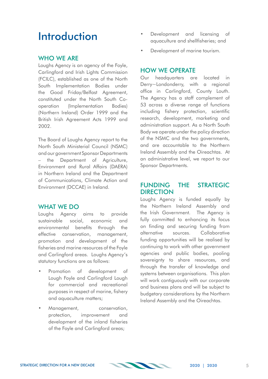### **Introduction**

#### WHO WF ARF

Loughs Agency is an agency of the Foyle, Carlingford and Irish Lights Commission (FCILC), established as one of the North South Implementation Bodies under the Good Friday/Belfast Agreement, constituted under the North South Cooperation (Implementation Bodies) (Northern Ireland) Order 1999 and the British Irish Agreement Acts 1999 and 2002.

The Board of Loughs Agency report to the North South Ministerial Council (NSMC) and our government Sponsor Departments – the Department of Agriculture, Environment and Rural Affairs (DAERA) in Northern Ireland and the Department of Communications, Climate Action and Environment (DCCAE) in Ireland.

#### WHAT WE DO

Loughs Agency aims to provide sustainable social, economic and environmental benefits through the effective conservation, management, promotion and development of the fisheries and marine resources of the Foyle and Carlingford areas. Loughs Agency's statutory functions are as follows:

- Promotion of development of Lough Foyle and Carlingford Lough for commercial and recreational purposes in respect of marine, fishery and aquaculture matters;
- Management, conservation. protection, improvement and development of the inland fisheries of the Foyle and Carlingford areas;
- Development and licensing of aquaculture and shellfisheries; and
- Development of marine tourism.

#### HOW WE OPERATE

Our headquarters are located in Derry~Londonderry, with a regional office in Carlingford, County Louth. The Agency has a staff complement of 53 across a diverse range of functions including fishery protection, scientific research, development, marketing and administration support. As a North South Body we operate under the policy direction of the NSMC and the two governments, and are accountable to the Northern Ireland Assembly and the Oireachtas. At an administrative level, we report to our Sponsor Departments.

#### FUNDING THE STRATEGIC DIRECTION

Loughs Agency is funded equally by the Northern Ireland Assembly and the Irish Government. The Agency is fully committed to enhancing its focus on finding and securing funding from alternative sources. Collaborative funding opportunities will be realised by continuing to work with other government agencies and public bodies, pooling sovereignty to share resources, and through the transfer of knowledge and systems between organisations. This plan will work contiguously with our corporate and business plans and will be subject to budgetary considerations by the Northern Ireland Assembly and the Oireachtas.

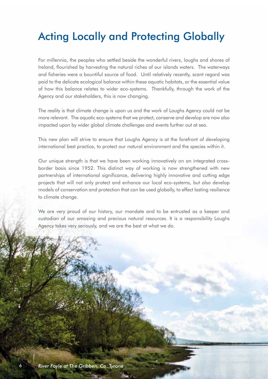## Acting Locally and Protecting Globally

For millennia, the peoples who settled beside the wonderful rivers, loughs and shores of Ireland, flourished by harvesting the natural riches of our islands waters. The waterways and fisheries were a bountiful source of food. Until relatively recently, scant regard was paid to the delicate ecological balance within these aquatic habitats, or the essential value of how this balance relates to wider eco-systems. Thankfully, through the work of the Agency and our stakeholders, this is now changing.

The reality is that climate change is upon us and the work of Loughs Agency could not be more relevant. The aquatic eco-systems that we protect, conserve and develop are now also impacted upon by wider global climate challenges and events further out at sea.

This new plan will strive to ensure that Loughs Agency is at the forefront of developing international best practice, to protect our natural environment and the species within it.

Our unique strength is that we have been working innovatively on an integrated crossborder basis since 1952. This distinct way of working is now strengthened with new partnerships of international significance, delivering highly innovative and cutting edge projects that will not only protect and enhance our local eco-systems, but also develop models of conservation and protection that can be used globally, to effect lasting resilience to climate change.

We are very proud of our history, our mandate and to be entrusted as a keeper and custodian of our amazing and precious natural resources. It is a responsibility Loughs Agency takes very seriously, and we are the best at what we do.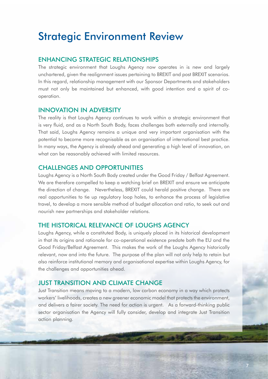### Strategic Environment Review

#### ENHANCING STRATEGIC RELATIONSHIPS

The strategic environment that Loughs Agency now operates in is new and largely unchartered, given the realignment issues pertaining to BREXIT and post BREXIT scenarios. In this regard, relationship management with our Sponsor Departments and stakeholders must not only be maintained but enhanced, with good intention and a spirit of cooperation.

#### INNOVATION IN ADVERSITY

The reality is that Loughs Agency continues to work within a strategic environment that is very fluid, and as a North South Body, faces challenges both externally and internally. That said, Loughs Agency remains a unique and very important organisation with the potential to become more recognisable as an organisation of international best practice. In many ways, the Agency is already ahead and generating a high level of innovation, on what can be reasonably achieved with limited resources.

#### CHALLENGES AND OPPORTUNITIES

Loughs Agency is a North South Body created under the Good Friday / Belfast Agreement. We are therefore compelled to keep a watching brief on BREXIT and ensure we anticipate the direction of change. Nevertheless, BREXIT could herald positive change. There are real opportunities to tie up regulatory loop holes, to enhance the process of legislative travel, to develop a more sensible method of budget allocation and ratio, to seek out and nourish new partnerships and stakeholder relations.

#### THE HISTORICAL RELEVANCE OF LOUGHS AGENCY

Loughs Agency, while a constituted Body, is uniquely placed in its historical development in that its origins and rationale for co-operational existence predate both the EU and the Good Friday/Belfast Agreement. This makes the work of the Loughs Agency historically relevant, now and into the future. The purpose of the plan will not only help to retain but also reinforce institutional memory and organisational expertise within Loughs Agency, for the challenges and opportunities ahead.

#### JUST TRANSITION AND CLIMATE CHANGE

Just Transition means moving to a modern, low carbon economy in a way which protects workers' livelihoods, creates a new greener economic model that protects the environment, and delivers a fairer society. The need for action is urgent. As a forward-thinking public sector organisation the Agency will fully consider, develop and integrate Just Transition action planning.

7

STRATEGIC DIRECTION FOR A NEW DECADE **2020 | 2030**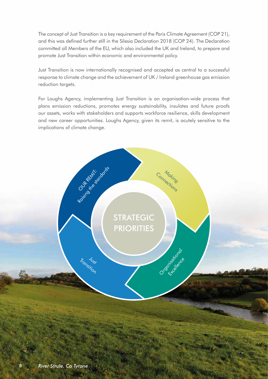The concept of Just Transition is a key requirement of the Paris Climate Agreement (COP 21), and this was defined further still in the Silesia Declaration 2018 (COP 24). The Declaration committed all Members of the EU, which also included the UK and Ireland, to prepare and promote Just Transition within economic and environmental policy.

Just Transition is now internationally recognised and accepted as central to a successful response to climate change and the achievement of UK / Ireland greenhouse gas emission reduction targets.

For Loughs Agency, implementing Just Transition is an organisation-wide process that plans emission reductions, promotes energy sustainability, insulates and future proofs our assets, works with stakeholders and supports workforce resilience, skills development and new career opportunities. Loughs Agency, given its remit, is acutely sensitive to the implications of climate change.



Religion of the state of core

Tronsition

Connecting

Organisational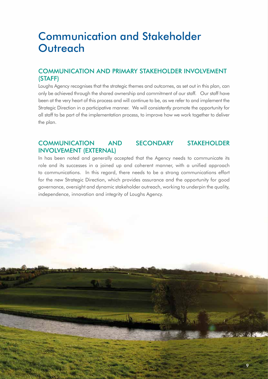### Communication and Stakeholder **Outreach**

### COMMUNICATION AND PRIMARY STAKEHOLDER INVOLVEMENT (STAFF)

Loughs Agency recognises that the strategic themes and outcomes, as set out in this plan, can only be achieved through the shared ownership and commitment of our staff. Our staff have been at the very heart of this process and will continue to be, as we refer to and implement the Strategic Direction in a participative manner. We will consistently promote the opportunity for all staff to be part of the implementation process, to improve how we work together to deliver the plan.

#### COMMUNICATION AND SECONDARY STAKEHOLDER INVOLVEMENT (EXTERNAL)

9

In has been noted and generally accepted that the Agency needs to communicate its role and its successes in a joined up and coherent manner, with a unified approach to communications. In this regard, there needs to be a strong communications effort for the new Strategic Direction, which provides assurance and the opportunity for good governance, oversight and dynamic stakeholder outreach, working to underpin the quality, independence, innovation and integrity of Loughs Agency.

STRATEGIC DIRECTION FOR A NEW DECADE **2020 | 2030**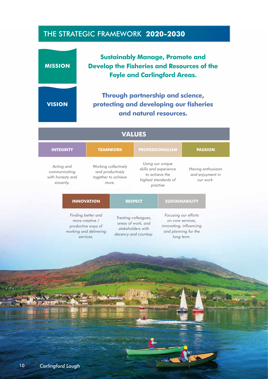### THE STRATEGIC FRAMEWORK **2020-2030**

#### **VISION Through partnership and science, protecting and developing our fisheries and natural resources. VALUES INTEGRITY TEAMWORK PROFESSIONALISM PASSION** *Acting and communicating with honesty and sincerity. Working collectively and productively together to achieve more. Using our unique skills and experience to achieve the highest standards of practise Having enthusiasm and enjoyment in our work.* **INNOVATION RESPECT SUSTAINABILITY** *Finding better and more creative / productive ways of working and delivering services. Treating colleagues, areas of work, and stakeholders with decency and courtesy. Focusing our efforts on core services, innovating, influencing and planning for the long term.* **MISSION Sustainably Manage, Promote and Develop the Fisheries and Resources of the Foyle and Carlingford Areas.**

10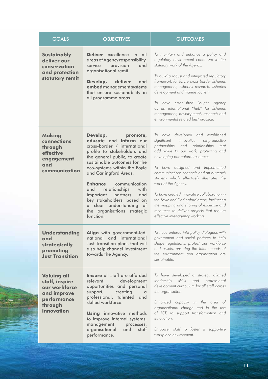| <b>GOALS</b>                                                                                                 | <b>OBJECTIVES</b>                                                                                                                                                                                                                                                                                                                                                                                                                              | <b>OUTCOMES</b>                                                                                                                                                                                                                                                                                                                                                                                                                                                                                                                                                                       |
|--------------------------------------------------------------------------------------------------------------|------------------------------------------------------------------------------------------------------------------------------------------------------------------------------------------------------------------------------------------------------------------------------------------------------------------------------------------------------------------------------------------------------------------------------------------------|---------------------------------------------------------------------------------------------------------------------------------------------------------------------------------------------------------------------------------------------------------------------------------------------------------------------------------------------------------------------------------------------------------------------------------------------------------------------------------------------------------------------------------------------------------------------------------------|
| <b>Sustainably</b><br>deliver our<br>conservation<br>and protection<br>statutory remit                       | Deliver excellence<br>in all<br>areas of Agency responsibility,<br>service provision<br>and<br>organisational remit.<br>Develop,<br>deliver<br>and<br>embed management systems<br>that ensure sustainability in<br>all programme areas.                                                                                                                                                                                                        | To maintain and enhance a policy and<br>regulatory environment conducive to the<br>statutory work of the Agency.<br>To build a robust and integrated regulatory<br>framework for future cross-border fisheries<br>management, fisheries research, fisheries<br>development and marine tourism.<br>have established Loughs Agency<br>To<br>as an international "hub" for fisheries<br>management, development, research and<br>environmental related best practice.                                                                                                                    |
| <b>Making</b><br>connections<br>through<br>effective<br>engagement<br>and<br>communication                   | Develop,<br>promote,<br>educate and inform our<br>cross-border / international<br>profile to stakeholders and<br>the general public, to create<br>sustainable outcomes for the<br>eco-systems within the Foyle<br>and Carlingford Areas.<br>communication<br><b>Enhance</b><br>relationships<br>with<br>and<br>important partners<br>and<br>key stakeholders, based on<br>a clear understanding of<br>the organisations strategic<br>function. | To have developed and established<br>innovative co-productive<br>significant<br>partnerships and relationships<br>that<br>add value to our work, protecting and<br>developing our natural resources.<br>To have designed and implemented<br>communications channels and an outreach<br>strategy which effectively illustrates the<br>work of the Agency.<br>To have created innovative collaboration in<br>the Foyle and Carlingford areas, facilitating<br>the mapping and sharing of expertise and<br>resources to deliver projects that require<br>effective inter-agency working. |
| <b>Understanding</b><br>and<br>strategically<br>promoting<br><b>Just Transition</b>                          | <b>Align</b> with government-led,<br>national and international<br>Just Transition plans that will<br>also help channel investment<br>towards the Agency.                                                                                                                                                                                                                                                                                      | To have entered into policy dialogues with<br>government and social partners to help<br>shape regulations, protect our workforce<br>and assets, ensuring the future needs of<br>the environment and organisation are<br>sustainable.                                                                                                                                                                                                                                                                                                                                                  |
| <b>Valuing all</b><br>staff, inspire<br>our workforce<br>and improve<br>performance<br>through<br>innovation | <b>Ensure</b> all staff are afforded<br>relevant<br>development<br>opportunities and personal<br>creating<br>support,<br>$\alpha$<br>professional, talented and<br>skilled workforce.<br><b>Using</b> innovative methods<br>to improve internal systems,<br>management<br>processes,<br>organisational<br>and<br>staff<br>performance.                                                                                                         | To have developed a strategy aligned<br>skills and professional<br>leadership<br>development curriculum for all staff across<br>the organisation.<br>Enhanced capacity in the area of<br>organisational change and in the use<br>of ICT, to support transformation and<br>innovation.<br>Empower staff to foster a supportive<br>workplace environment.                                                                                                                                                                                                                               |

STRATEGIC DIRECTION FOR A NEW DECADE **2020 | 2030**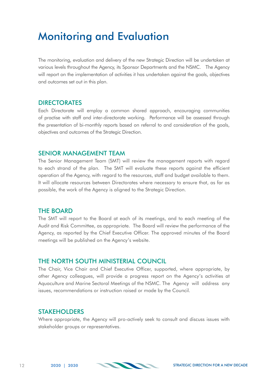### Monitoring and Evaluation

The monitoring, evaluation and delivery of the new Strategic Direction will be undertaken at various levels throughout the Agency, its Sponsor Departments and the NSMC. The Agency will report on the implementation of activities it has undertaken against the goals, objectives and outcomes set out in this plan.

#### DIRECTORATES

Each Directorate will employ a common shared approach, encouraging communities of practise with staff and inter-directorate working. Performance will be assessed through the presentation of bi-monthly reports based on referral to and consideration of the goals, objectives and outcomes of the Strategic Direction.

#### SENIOR MANAGEMENT TEAM

The Senior Management Team (SMT) will review the management reports with regard to each strand of the plan. The SMT will evaluate these reports against the efficient operation of the Agency, with regard to the resources, staff and budget available to them. It will allocate resources between Directorates where necessary to ensure that, as far as possible, the work of the Agency is aligned to the Strategic Direction.

#### THE BOARD

The SMT will report to the Board at each of its meetings, and to each meeting of the Audit and Risk Committee, as appropriate. The Board will review the performance of the Agency, as reported by the Chief Executive Officer. The approved minutes of the Board meetings will be published on the Agency's website.

#### THE NORTH SOUTH MINISTERIAL COUNCIL

The Chair, Vice Chair and Chief Executive Officer, supported, where appropriate, by other Agency colleagues, will provide a progress report on the Agency's activities at Aquaculture and Marine Sectoral Meetings of the NSMC. The Agency will address any issues, recommendations or instruction raised or made by the Council.

#### STAKEHOLDERS

Where appropriate, the Agency will pro-actively seek to consult and discuss issues with stakeholder groups or representatives.



12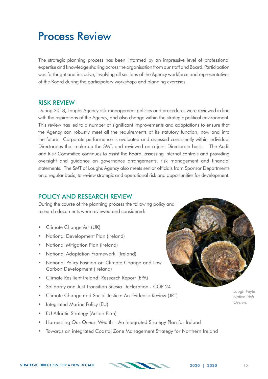### Process Review

The strategic planning process has been informed by an impressive level of professional expertise and knowledge sharing across the organisation from our staff and Board. Participation was forthright and inclusive, involving all sections of the Agency workforce and representatives of the Board during the participatory workshops and planning exercises.

#### RISK REVIEW

During 2018, Loughs Agency risk management policies and procedures were reviewed in line with the aspirations of the Agency, and also change within the strategic political environment. This review has led to a number of significant improvements and adaptations to ensure that the Agency can robustly meet all the requirements of its statutory function, now and into the future. Corporate performance is evaluated and assessed consistently within individual Directorates that make up the SMT, and reviewed on a joint Directorate basis. The Audit and Risk Committee continues to assist the Board, assessing internal controls and providing oversight and guidance on governance arrangements, risk management and financial statements. The SMT of Loughs Agency also meets senior officials from Sponsor Departments on a regular basis, to review strategic and operational risk and opportunities for development.

### POLICY AND RESEARCH REVIEW

During the course of the planning process the following policy and research documents were reviewed and considered:

- Climate Change Act (UK)
- National Development Plan (Ireland)
- National Mitigation Plan (Ireland)
- National Adaptation Framework (Ireland)
- National Policy Position on Climate Change and Low Carbon Development (Ireland)
- Climate Resilient Ireland: Research Report (EPA)
- Solidarity and Just Transition Silesia Declaration COP 24
- Climate Change and Social Justice: An Evidence Review (JRT)
- Integrated Marine Policy (EU)
- EU Atlantic Strategy (Action Plan)
- Harnessing Our Ocean Wealth An Integrated Strategy Plan for Ireland
- Towards an integrated Coastal Zone Management Strategy for Northern Ireland

*Lough Foyle* 

*Native Irish Oysters*

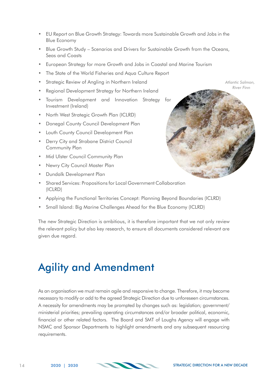- EU Report on Blue Growth Strategy: Towards more Sustainable Growth and Jobs in the Blue Economy
- Blue Growth Study Scenarios and Drivers for Sustainable Growth from the Oceans, Seas and Coasts
- European Strategy for more Growth and Jobs in Coastal and Marine Tourism
- The State of the World Fisheries and Aqua Culture Report
- Strategic Review of Angling in Northern Ireland
- Regional Development Strategy for Northern Ireland
- Tourism Development and Innovation Strategy for Investment (Ireland)
- North West Strategic Growth Plan (ICLRD)
- Donegal County Council Development Plan
- Louth County Council Development Plan
- Derry City and Strabane District Council Community Plan
- Mid Ulster Council Community Plan
- Newry City Council Master Plan
- Dundalk Development Plan
- Shared Services: Propositions for Local Government Collaboration (ICLRD)
- Applying the Functional Territories Concept: Planning Beyond Boundaries (ICLRD)
- Small Island: Big Marine Challenges Ahead for the Blue Economy (ICLRD)

The new Strategic Direction is ambitious, it is therefore important that we not only review the relevant policy but also key research, to ensure all documents considered relevant are given due regard.

### Agility and Amendment

As an organisation we must remain agile and responsive to change. Therefore, it may become necessary to modify or add to the agreed Strategic Direction due to unforeseen circumstances. A necessity for amendments may be prompted by changes such as: legislation; government/ ministerial priorities; prevailing operating circumstances and/or broader political, economic, financial or other related factors. The Board and SMT of Loughs Agency will engage with NSMC and Sponsor Departments to highlight amendments and any subsequent resourcing requirements.



*Atlantic Salmon, River Finn*